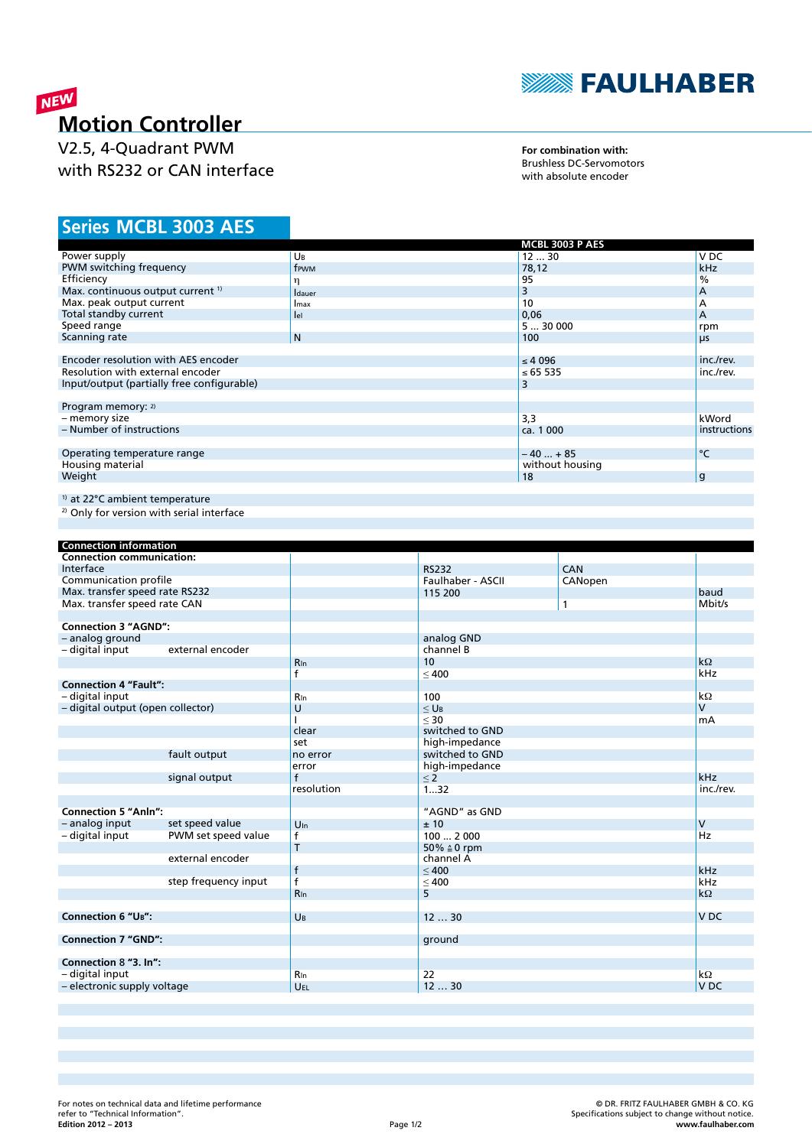

# NEW **Motion Controller**

V2.5, 4-Quadrant PWM with RS232 or CAN interface

**For combination with:** Brushless DC-Servomotors with absolute encoder

## **MCBL 3003 AES Series**

|                                              |                | <b>MCBL 3003 P AES</b> |              |  |
|----------------------------------------------|----------------|------------------------|--------------|--|
| Power supply                                 | UB             | 1230                   | V DC         |  |
| PWM switching frequency                      | frwm           | 78,12                  | kHz          |  |
| Efficiency                                   | η              | 95                     | $\%$         |  |
| Max. continuous output current <sup>1)</sup> | <b>I</b> dauer | 3                      | A            |  |
| Max. peak output current                     | Imax           | 10                     | А            |  |
| Total standby current                        | lel            | 0,06                   | A            |  |
| Speed range                                  |                | 530000                 | rpm          |  |
| Scanning rate                                | N              | 100                    | μs           |  |
|                                              |                |                        |              |  |
| Encoder resolution with AES encoder          | $\leq 4096$    | inc./rev.              |              |  |
| Resolution with external encoder             | ≤ 65 535       | inc./rev.              |              |  |
| Input/output (partially free configurable)   |                | 3                      |              |  |
|                                              |                |                        |              |  |
| Program memory: 2)                           |                |                        |              |  |
| - memory size                                |                | 3,3                    | kWord        |  |
| - Number of instructions                     |                | ca. 1 000              | instructions |  |
|                                              |                |                        |              |  |
| Operating temperature range                  |                | $-40+85$               | °C           |  |
| Housing material                             |                | without housing        |              |  |
| Weight                                       |                | 18                     | g            |  |
|                                              |                |                        |              |  |
| <sup>1)</sup> at 22°C ambient temperature    |                |                        |              |  |

<sup>2)</sup> Only for version with serial interface

| <b>Connection information</b>     |                      |                 |                    |         |                 |
|-----------------------------------|----------------------|-----------------|--------------------|---------|-----------------|
| <b>Connection communication:</b>  |                      |                 |                    |         |                 |
| Interface                         |                      |                 | <b>RS232</b>       | CAN     |                 |
| Communication profile             |                      |                 | Faulhaber - ASCII  | CANopen |                 |
| Max. transfer speed rate RS232    |                      |                 | 115 200            |         | baud            |
| Max. transfer speed rate CAN      |                      |                 |                    | 1       | Mbit/s          |
|                                   |                      |                 |                    |         |                 |
| <b>Connection 3 "AGND":</b>       |                      |                 |                    |         |                 |
| - analog ground                   |                      |                 | analog GND         |         |                 |
| - digital input                   | external encoder     |                 | channel B          |         |                 |
|                                   |                      | <b>R</b> In     | 10                 |         | $k\Omega$       |
|                                   |                      | $\mathsf{f}$    | < 400              |         | kHz             |
| <b>Connection 4 "Fault":</b>      |                      |                 |                    |         |                 |
| - digital input                   |                      | <b>R</b> In     | 100                |         | $k\Omega$       |
| - digital output (open collector) |                      | U               | $<$ U <sub>B</sub> |         | $\overline{V}$  |
|                                   |                      |                 | $<$ 30             |         | mA              |
|                                   |                      | clear           | switched to GND    |         |                 |
|                                   |                      | set             | high-impedance     |         |                 |
|                                   | fault output         | no error        | switched to GND    |         |                 |
|                                   |                      | error           | high-impedance     |         |                 |
|                                   | signal output        | $\mathsf{f}$    | $\leq$ 2           |         | kHz             |
|                                   |                      | resolution      | 132                |         | inc./rev.       |
|                                   |                      |                 |                    |         |                 |
| <b>Connection 5 "Anln":</b>       |                      |                 | "AGND" as GND      |         |                 |
| - analog input                    | set speed value      | $U_{\text{In}}$ | ± 10               |         | $\mathsf{V}$    |
| - digital input                   | PWM set speed value  | f               | 1002000            |         | Hz              |
|                                   |                      | T               | 50% ≙0 rpm         |         |                 |
|                                   | external encoder     |                 | channel A          |         |                 |
|                                   |                      | $\mathsf{f}$    | < 400              |         | kHz             |
|                                   | step frequency input | $\overline{f}$  | $\leq 400$         |         | kHz             |
|                                   |                      | <b>R</b> In     | 5                  |         | $k\Omega$       |
|                                   |                      |                 |                    |         |                 |
| <b>Connection 6 "UB":</b>         |                      | UB              | 1230               |         | V <sub>DC</sub> |
|                                   |                      |                 |                    |         |                 |
| <b>Connection 7 "GND":</b>        |                      |                 | ground             |         |                 |
|                                   |                      |                 |                    |         |                 |
| Connection 8 "3. In":             |                      |                 |                    |         |                 |
| - digital input                   |                      | <b>R</b> In     | 22                 |         | $k\Omega$       |
| - electronic supply voltage       |                      | UEL             | 1230               |         | V <sub>DC</sub> |
|                                   |                      |                 |                    |         |                 |